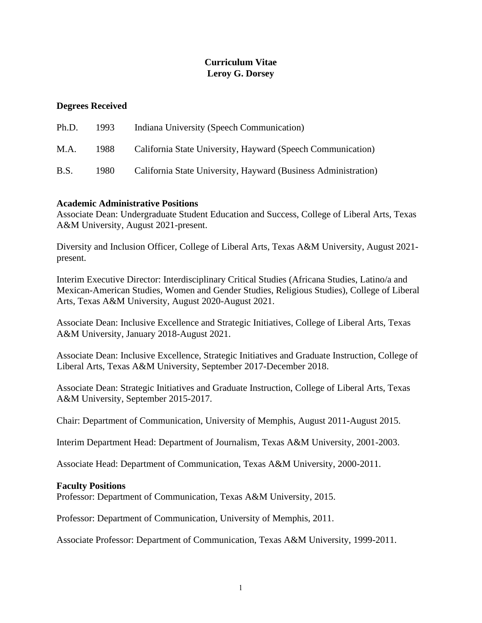# **Curriculum Vitae Leroy G. Dorsey**

# **Degrees Received**

| Ph.D.       | 1993 | Indiana University (Speech Communication)                      |
|-------------|------|----------------------------------------------------------------|
| M.A.        | 1988 | California State University, Hayward (Speech Communication)    |
| <b>B.S.</b> | 1980 | California State University, Hayward (Business Administration) |

# **Academic Administrative Positions**

Associate Dean: Undergraduate Student Education and Success, College of Liberal Arts, Texas A&M University, August 2021-present.

Diversity and Inclusion Officer, College of Liberal Arts, Texas A&M University, August 2021 present.

Interim Executive Director: Interdisciplinary Critical Studies (Africana Studies, Latino/a and Mexican-American Studies, Women and Gender Studies, Religious Studies), College of Liberal Arts, Texas A&M University, August 2020-August 2021.

Associate Dean: Inclusive Excellence and Strategic Initiatives, College of Liberal Arts, Texas A&M University, January 2018-August 2021.

Associate Dean: Inclusive Excellence, Strategic Initiatives and Graduate Instruction, College of Liberal Arts, Texas A&M University, September 2017-December 2018.

Associate Dean: Strategic Initiatives and Graduate Instruction, College of Liberal Arts, Texas A&M University, September 2015-2017.

Chair: Department of Communication, University of Memphis, August 2011-August 2015.

Interim Department Head: Department of Journalism, Texas A&M University, 2001-2003.

Associate Head: Department of Communication, Texas A&M University, 2000-2011.

### **Faculty Positions**

Professor: Department of Communication, Texas A&M University, 2015.

Professor: Department of Communication, University of Memphis, 2011.

Associate Professor: Department of Communication, Texas A&M University, 1999-2011.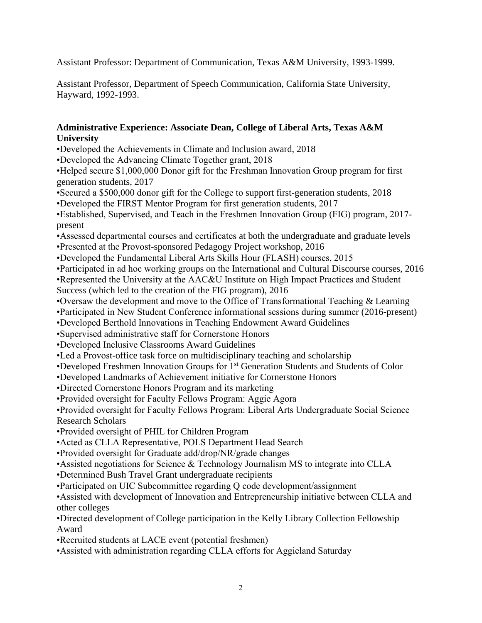Assistant Professor: Department of Communication, Texas A&M University, 1993-1999.

Assistant Professor, Department of Speech Communication, California State University, Hayward, 1992-1993.

# **Administrative Experience: Associate Dean, College of Liberal Arts, Texas A&M University**

- •Developed the Achievements in Climate and Inclusion award, 2018
- •Developed the Advancing Climate Together grant, 2018

•Helped secure \$1,000,000 Donor gift for the Freshman Innovation Group program for first generation students, 2017

•Secured a \$500,000 donor gift for the College to support first-generation students, 2018

•Developed the FIRST Mentor Program for first generation students, 2017

•Established, Supervised, and Teach in the Freshmen Innovation Group (FIG) program, 2017 present

- •Assessed departmental courses and certificates at both the undergraduate and graduate levels
- •Presented at the Provost-sponsored Pedagogy Project workshop, 2016
- •Developed the Fundamental Liberal Arts Skills Hour (FLASH) courses, 2015
- •Participated in ad hoc working groups on the International and Cultural Discourse courses, 2016
- •Represented the University at the AAC&U Institute on High Impact Practices and Student

Success (which led to the creation of the FIG program), 2016

- •Oversaw the development and move to the Office of Transformational Teaching & Learning
- •Participated in New Student Conference informational sessions during summer (2016-present)
- •Developed Berthold Innovations in Teaching Endowment Award Guidelines
- •Supervised administrative staff for Cornerstone Honors
- •Developed Inclusive Classrooms Award Guidelines
- •Led a Provost-office task force on multidisciplinary teaching and scholarship
- •Developed Freshmen Innovation Groups for 1st Generation Students and Students of Color

•Developed Landmarks of Achievement initiative for Cornerstone Honors

- •Directed Cornerstone Honors Program and its marketing
- •Provided oversight for Faculty Fellows Program: Aggie Agora

•Provided oversight for Faculty Fellows Program: Liberal Arts Undergraduate Social Science Research Scholars

•Provided oversight of PHIL for Children Program

•Acted as CLLA Representative, POLS Department Head Search

•Provided oversight for Graduate add/drop/NR/grade changes

•Assisted negotiations for Science & Technology Journalism MS to integrate into CLLA

•Determined Bush Travel Grant undergraduate recipients

•Participated on UIC Subcommittee regarding Q code development/assignment

•Assisted with development of Innovation and Entrepreneurship initiative between CLLA and other colleges

•Directed development of College participation in the Kelly Library Collection Fellowship Award

•Recruited students at LACE event (potential freshmen)

•Assisted with administration regarding CLLA efforts for Aggieland Saturday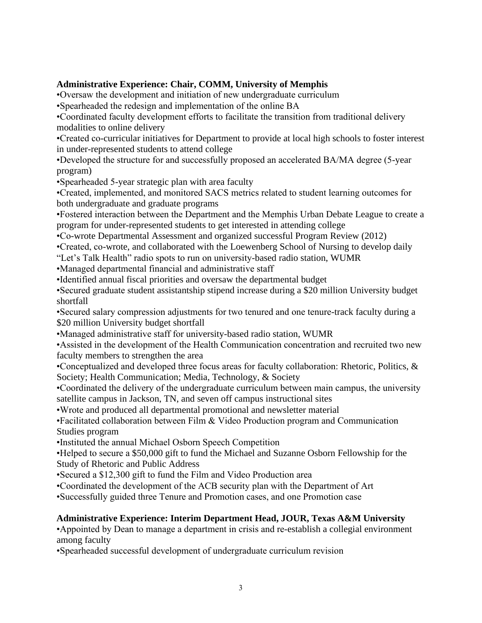# **Administrative Experience: Chair, COMM, University of Memphis**

•Oversaw the development and initiation of new undergraduate curriculum

•Spearheaded the redesign and implementation of the online BA

•Coordinated faculty development efforts to facilitate the transition from traditional delivery modalities to online delivery

•Created co-curricular initiatives for Department to provide at local high schools to foster interest in under-represented students to attend college

•Developed the structure for and successfully proposed an accelerated BA/MA degree (5-year program)

•Spearheaded 5-year strategic plan with area faculty

•Created, implemented, and monitored SACS metrics related to student learning outcomes for both undergraduate and graduate programs

•Fostered interaction between the Department and the Memphis Urban Debate League to create a program for under-represented students to get interested in attending college

•Co-wrote Departmental Assessment and organized successful Program Review (2012)

•Created, co-wrote, and collaborated with the Loewenberg School of Nursing to develop daily

"Let's Talk Health" radio spots to run on university-based radio station, WUMR

•Managed departmental financial and administrative staff

•Identified annual fiscal priorities and oversaw the departmental budget

•Secured graduate student assistantship stipend increase during a \$20 million University budget shortfall

•Secured salary compression adjustments for two tenured and one tenure-track faculty during a \$20 million University budget shortfall

•Managed administrative staff for university-based radio station, WUMR

•Assisted in the development of the Health Communication concentration and recruited two new faculty members to strengthen the area

•Conceptualized and developed three focus areas for faculty collaboration: Rhetoric, Politics, & Society; Health Communication; Media, Technology, & Society

•Coordinated the delivery of the undergraduate curriculum between main campus, the university satellite campus in Jackson, TN, and seven off campus instructional sites

•Wrote and produced all departmental promotional and newsletter material

•Facilitated collaboration between Film & Video Production program and Communication Studies program

•Instituted the annual Michael Osborn Speech Competition

•Helped to secure a \$50,000 gift to fund the Michael and Suzanne Osborn Fellowship for the Study of Rhetoric and Public Address

•Secured a \$12,300 gift to fund the Film and Video Production area

•Coordinated the development of the ACB security plan with the Department of Art

•Successfully guided three Tenure and Promotion cases, and one Promotion case

# **Administrative Experience: Interim Department Head, JOUR, Texas A&M University**

•Appointed by Dean to manage a department in crisis and re-establish a collegial environment among faculty

•Spearheaded successful development of undergraduate curriculum revision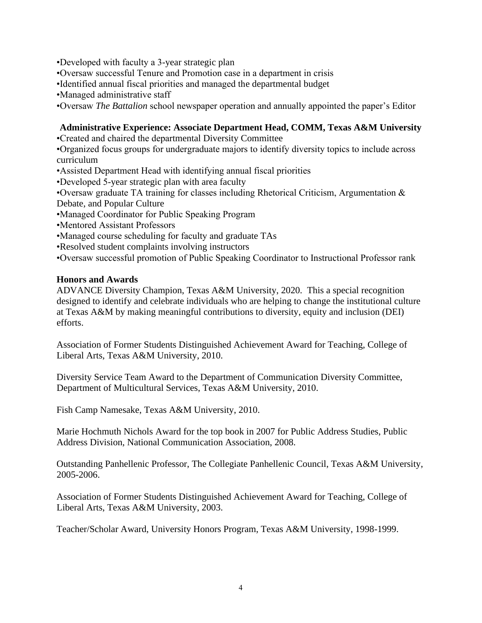•Developed with faculty a 3-year strategic plan

•Oversaw successful Tenure and Promotion case in a department in crisis

•Identified annual fiscal priorities and managed the departmental budget

•Managed administrative staff

•Oversaw *The Battalion* school newspaper operation and annually appointed the paper's Editor

# **Administrative Experience: Associate Department Head, COMM, Texas A&M University**

•Created and chaired the departmental Diversity Committee

•Organized focus groups for undergraduate majors to identify diversity topics to include across curriculum

•Assisted Department Head with identifying annual fiscal priorities

•Developed 5-year strategic plan with area faculty

•Oversaw graduate TA training for classes including Rhetorical Criticism, Argumentation & Debate, and Popular Culture

•Managed Coordinator for Public Speaking Program

•Mentored Assistant Professors

•Managed course scheduling for faculty and graduate TAs

•Resolved student complaints involving instructors

•Oversaw successful promotion of Public Speaking Coordinator to Instructional Professor rank

# **Honors and Awards**

ADVANCE Diversity Champion, Texas A&M University, 2020. This a special recognition designed to identify and celebrate individuals who are helping to change the institutional culture at Texas A&M by making meaningful contributions to diversity, equity and inclusion (DEI) efforts.

Association of Former Students Distinguished Achievement Award for Teaching, College of Liberal Arts, Texas A&M University, 2010.

Diversity Service Team Award to the Department of Communication Diversity Committee, Department of Multicultural Services, Texas A&M University, 2010.

Fish Camp Namesake, Texas A&M University, 2010.

Marie Hochmuth Nichols Award for the top book in 2007 for Public Address Studies, Public Address Division, National Communication Association, 2008.

Outstanding Panhellenic Professor, The Collegiate Panhellenic Council, Texas A&M University, 2005-2006.

Association of Former Students Distinguished Achievement Award for Teaching, College of Liberal Arts, Texas A&M University, 2003.

Teacher/Scholar Award, University Honors Program, Texas A&M University, 1998-1999.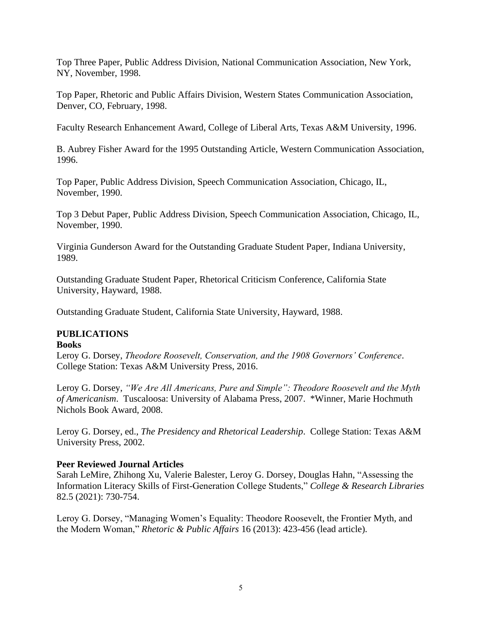Top Three Paper, Public Address Division, National Communication Association, New York, NY, November, 1998.

Top Paper, Rhetoric and Public Affairs Division, Western States Communication Association, Denver, CO, February, 1998.

Faculty Research Enhancement Award, College of Liberal Arts, Texas A&M University, 1996.

B. Aubrey Fisher Award for the 1995 Outstanding Article, Western Communication Association, 1996.

Top Paper, Public Address Division, Speech Communication Association, Chicago, IL, November, 1990.

Top 3 Debut Paper, Public Address Division, Speech Communication Association, Chicago, IL, November, 1990.

Virginia Gunderson Award for the Outstanding Graduate Student Paper, Indiana University, 1989.

Outstanding Graduate Student Paper, Rhetorical Criticism Conference, California State University, Hayward, 1988.

Outstanding Graduate Student, California State University, Hayward, 1988.

# **PUBLICATIONS**

### **Books**

Leroy G. Dorsey, *Theodore Roosevelt, Conservation, and the 1908 Governors' Conference*. College Station: Texas A&M University Press, 2016.

Leroy G. Dorsey, *"We Are All Americans, Pure and Simple": Theodore Roosevelt and the Myth of Americanism*. Tuscaloosa: University of Alabama Press, 2007. \*Winner, Marie Hochmuth Nichols Book Award, 2008.

Leroy G. Dorsey, ed., *The Presidency and Rhetorical Leadership*. College Station: Texas A&M University Press, 2002.

### **Peer Reviewed Journal Articles**

Sarah LeMire, Zhihong Xu, Valerie Balester, Leroy G. Dorsey, Douglas Hahn, "Assessing the Information Literacy Skills of First-Generation College Students," *College & Research Libraries* 82.5 (2021): 730-754.

Leroy G. Dorsey, "Managing Women's Equality: Theodore Roosevelt, the Frontier Myth, and the Modern Woman," *Rhetoric & Public Affairs* 16 (2013): 423-456 (lead article).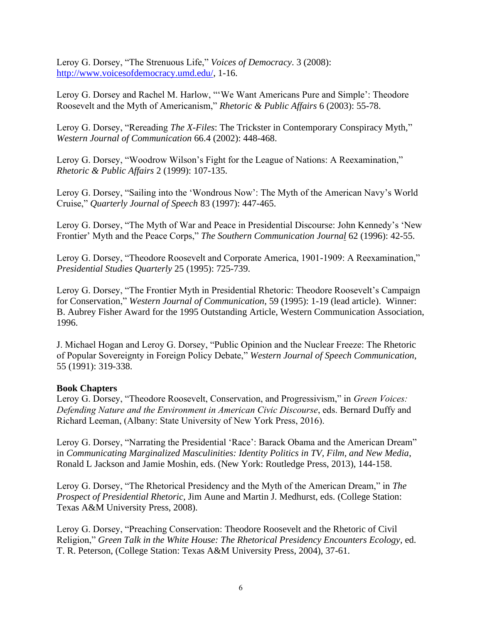Leroy G. Dorsey, "The Strenuous Life," *Voices of Democracy*. 3 (2008): [http://www.voicesofdemocracy.umd.edu/,](http://www.voicesofdemocracy.umd.edu/) 1-16.

Leroy G. Dorsey and Rachel M. Harlow, "'We Want Americans Pure and Simple': Theodore Roosevelt and the Myth of Americanism," *Rhetoric & Public Affairs* 6 (2003): 55-78.

Leroy G. Dorsey, "Rereading *The X-Files*: The Trickster in Contemporary Conspiracy Myth," *Western Journal of Communication* 66.4 (2002): 448-468.

Leroy G. Dorsey, "Woodrow Wilson's Fight for the League of Nations: A Reexamination," *Rhetoric & Public Affairs* 2 (1999): 107-135.

Leroy G. Dorsey, "Sailing into the 'Wondrous Now': The Myth of the American Navy's World Cruise," *Quarterly Journal of Speech* 83 (1997): 447-465.

Leroy G. Dorsey, "The Myth of War and Peace in Presidential Discourse: John Kennedy's 'New Frontier' Myth and the Peace Corps," *The Southern Communication Journal* 62 (1996): 42-55.

Leroy G. Dorsey, "Theodore Roosevelt and Corporate America, 1901-1909: A Reexamination," *Presidential Studies Quarterly* 25 (1995): 725-739.

Leroy G. Dorsey, "The Frontier Myth in Presidential Rhetoric: Theodore Roosevelt's Campaign for Conservation," *Western Journal of Communication*, 59 (1995): 1-19 (lead article). Winner: B. Aubrey Fisher Award for the 1995 Outstanding Article, Western Communication Association, 1996.

J. Michael Hogan and Leroy G. Dorsey, "Public Opinion and the Nuclear Freeze: The Rhetoric of Popular Sovereignty in Foreign Policy Debate," *Western Journal of Speech Communication*, 55 (1991): 319-338.

### **Book Chapters**

Leroy G. Dorsey, "Theodore Roosevelt, Conservation, and Progressivism," in *Green Voices: Defending Nature and the Environment in American Civic Discourse*, eds. Bernard Duffy and Richard Leeman, (Albany: State University of New York Press, 2016).

Leroy G. Dorsey, "Narrating the Presidential 'Race': Barack Obama and the American Dream" in *Communicating Marginalized Masculinities: Identity Politics in TV, Film, and New Media*, Ronald L Jackson and Jamie Moshin, eds. (New York: Routledge Press, 2013), 144-158.

Leroy G. Dorsey, "The Rhetorical Presidency and the Myth of the American Dream," in *The Prospect of Presidential Rhetoric*, Jim Aune and Martin J. Medhurst, eds. (College Station: Texas A&M University Press, 2008).

Leroy G. Dorsey, "Preaching Conservation: Theodore Roosevelt and the Rhetoric of Civil Religion," *Green Talk in the White House: The Rhetorical Presidency Encounters Ecology*, ed. T. R. Peterson, (College Station: Texas A&M University Press, 2004), 37-61.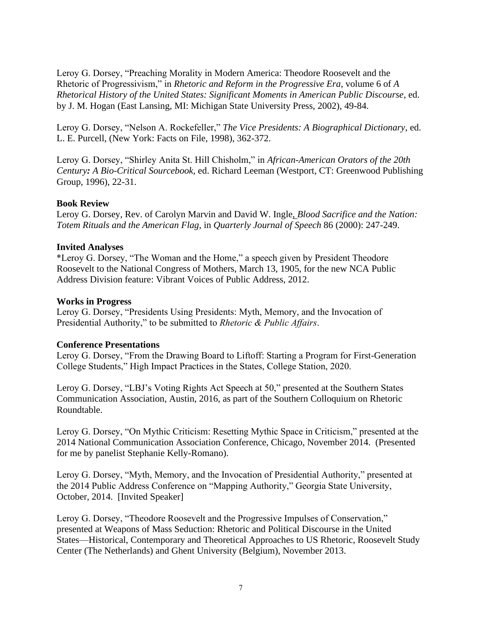Leroy G. Dorsey, "Preaching Morality in Modern America: Theodore Roosevelt and the Rhetoric of Progressivism," in *Rhetoric and Reform in the Progressive Era*, volume 6 of *A Rhetorical History of the United States: Significant Moments in American Public Discourse*, ed. by J. M. Hogan (East Lansing, MI: Michigan State University Press, 2002), 49-84.

Leroy G. Dorsey, "Nelson A. Rockefeller," *The Vice Presidents: A Biographical Dictionary*, ed. L. E. Purcell, (New York: Facts on File, 1998), 362-372.

Leroy G. Dorsey, "Shirley Anita St. Hill Chisholm," in *African-American Orators of the 20th Century: A Bio-Critical Sourcebook,* ed. Richard Leeman (Westport, CT: Greenwood Publishing Group, 1996), 22-31.

### **Book Review**

Leroy G. Dorsey, Rev. of Carolyn Marvin and David W. Ingle, *Blood Sacrifice and the Nation: Totem Rituals and the American Flag*, in *Quarterly Journal of Speech* 86 (2000): 247-249.

#### **Invited Analyses**

\*Leroy G. Dorsey, "The Woman and the Home," a speech given by President Theodore Roosevelt to the National Congress of Mothers, March 13, 1905, for the new NCA Public Address Division feature: Vibrant Voices of Public Address, 2012.

#### **Works in Progress**

Leroy G. Dorsey, "Presidents Using Presidents: Myth, Memory, and the Invocation of Presidential Authority," to be submitted to *Rhetoric & Public Affairs*.

#### **Conference Presentations**

Leroy G. Dorsey, "From the Drawing Board to Liftoff: Starting a Program for First-Generation College Students," High Impact Practices in the States, College Station, 2020.

Leroy G. Dorsey, "LBJ's Voting Rights Act Speech at 50," presented at the Southern States Communication Association, Austin, 2016, as part of the Southern Colloquium on Rhetoric Roundtable.

Leroy G. Dorsey, "On Mythic Criticism: Resetting Mythic Space in Criticism," presented at the 2014 National Communication Association Conference, Chicago, November 2014. (Presented for me by panelist Stephanie Kelly-Romano).

Leroy G. Dorsey, "Myth, Memory, and the Invocation of Presidential Authority," presented at the 2014 Public Address Conference on "Mapping Authority," Georgia State University, October, 2014. [Invited Speaker]

Leroy G. Dorsey, "Theodore Roosevelt and the Progressive Impulses of Conservation," presented at Weapons of Mass Seduction: Rhetoric and Political Discourse in the United States—Historical, Contemporary and Theoretical Approaches to US Rhetoric, Roosevelt Study Center (The Netherlands) and Ghent University (Belgium), November 2013.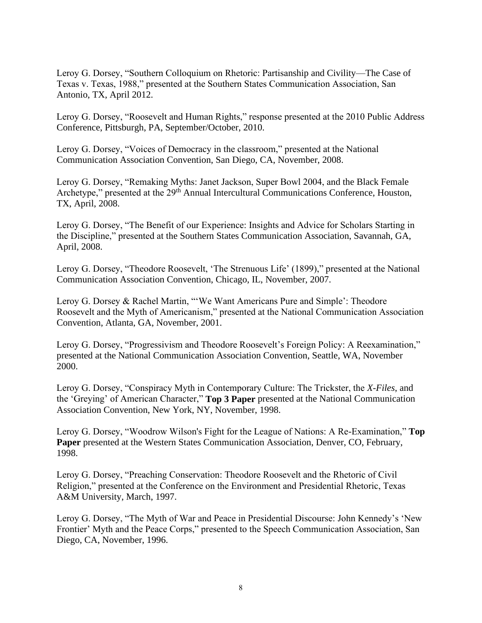Leroy G. Dorsey, "Southern Colloquium on Rhetoric: Partisanship and Civility—The Case of Texas v. Texas, 1988," presented at the Southern States Communication Association, San Antonio, TX, April 2012.

Leroy G. Dorsey, "Roosevelt and Human Rights," response presented at the 2010 Public Address Conference, Pittsburgh, PA, September/October, 2010.

Leroy G. Dorsey, "Voices of Democracy in the classroom," presented at the National Communication Association Convention, San Diego, CA, November, 2008.

Leroy G. Dorsey, "Remaking Myths: Janet Jackson, Super Bowl 2004, and the Black Female Archetype," presented at the 29<sup>th</sup> Annual Intercultural Communications Conference, Houston, TX, April, 2008.

Leroy G. Dorsey, "The Benefit of our Experience: Insights and Advice for Scholars Starting in the Discipline," presented at the Southern States Communication Association, Savannah, GA, April, 2008.

Leroy G. Dorsey, "Theodore Roosevelt, 'The Strenuous Life' (1899)," presented at the National Communication Association Convention, Chicago, IL, November, 2007.

Leroy G. Dorsey & Rachel Martin, "'We Want Americans Pure and Simple': Theodore Roosevelt and the Myth of Americanism," presented at the National Communication Association Convention, Atlanta, GA, November, 2001.

Leroy G. Dorsey, "Progressivism and Theodore Roosevelt's Foreign Policy: A Reexamination," presented at the National Communication Association Convention, Seattle, WA, November 2000.

Leroy G. Dorsey, "Conspiracy Myth in Contemporary Culture: The Trickster, the *X-Files*, and the 'Greying' of American Character," **Top 3 Paper** presented at the National Communication Association Convention, New York, NY, November, 1998.

Leroy G. Dorsey, "Woodrow Wilson's Fight for the League of Nations: A Re-Examination," **Top Paper** presented at the Western States Communication Association, Denver, CO, February, 1998.

Leroy G. Dorsey, "Preaching Conservation: Theodore Roosevelt and the Rhetoric of Civil Religion," presented at the Conference on the Environment and Presidential Rhetoric, Texas A&M University, March, 1997.

Leroy G. Dorsey, "The Myth of War and Peace in Presidential Discourse: John Kennedy's 'New Frontier' Myth and the Peace Corps," presented to the Speech Communication Association, San Diego, CA, November, 1996.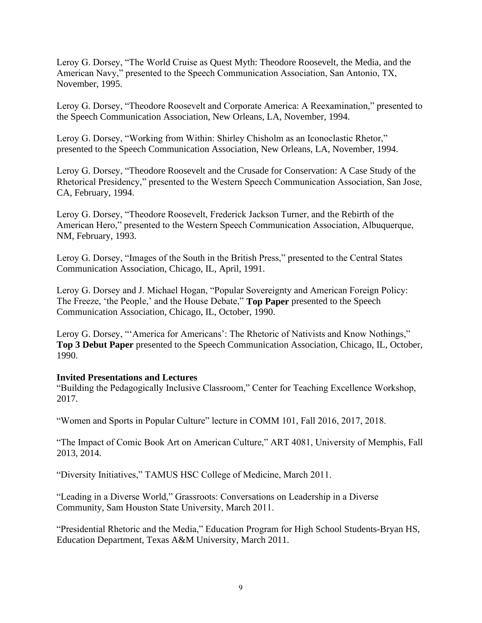Leroy G. Dorsey, "The World Cruise as Quest Myth: Theodore Roosevelt, the Media, and the American Navy," presented to the Speech Communication Association, San Antonio, TX, November, 1995.

Leroy G. Dorsey, "Theodore Roosevelt and Corporate America: A Reexamination," presented to the Speech Communication Association, New Orleans, LA, November, 1994.

Leroy G. Dorsey, "Working from Within: Shirley Chisholm as an Iconoclastic Rhetor," presented to the Speech Communication Association, New Orleans, LA, November, 1994.

Leroy G. Dorsey, "Theodore Roosevelt and the Crusade for Conservation: A Case Study of the Rhetorical Presidency," presented to the Western Speech Communication Association, San Jose, CA, February, 1994.

Leroy G. Dorsey, "Theodore Roosevelt, Frederick Jackson Turner, and the Rebirth of the American Hero," presented to the Western Speech Communication Association, Albuquerque, NM, February, 1993.

Leroy G. Dorsey, "Images of the South in the British Press," presented to the Central States Communication Association, Chicago, IL, April, 1991.

Leroy G. Dorsey and J. Michael Hogan, "Popular Sovereignty and American Foreign Policy: The Freeze, 'the People,' and the House Debate," **Top Paper** presented to the Speech Communication Association, Chicago, IL, October, 1990.

Leroy G. Dorsey, "'America for Americans': The Rhetoric of Nativists and Know Nothings," **Top 3 Debut Paper** presented to the Speech Communication Association, Chicago, IL, October, 1990.

### **Invited Presentations and Lectures**

"Building the Pedagogically Inclusive Classroom," Center for Teaching Excellence Workshop, 2017.

"Women and Sports in Popular Culture" lecture in COMM 101, Fall 2016, 2017, 2018.

"The Impact of Comic Book Art on American Culture," ART 4081, University of Memphis, Fall 2013, 2014.

"Diversity Initiatives," TAMUS HSC College of Medicine, March 2011.

"Leading in a Diverse World," Grassroots: Conversations on Leadership in a Diverse Community, Sam Houston State University, March 2011.

"Presidential Rhetoric and the Media," Education Program for High School Students-Bryan HS, Education Department, Texas A&M University, March 2011.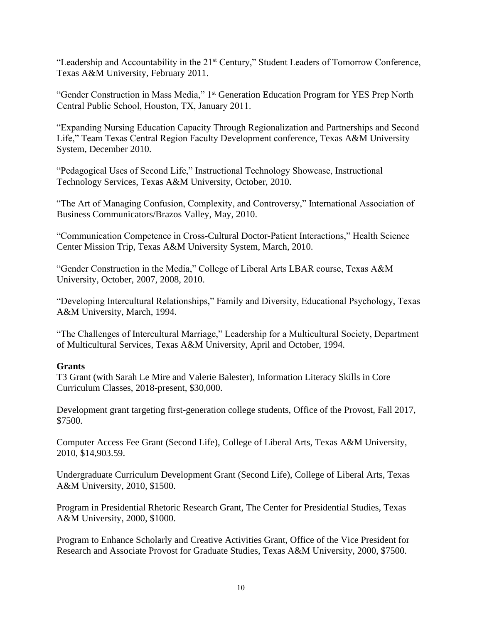"Leadership and Accountability in the 21<sup>st</sup> Century," Student Leaders of Tomorrow Conference, Texas A&M University, February 2011.

"Gender Construction in Mass Media," 1st Generation Education Program for YES Prep North Central Public School, Houston, TX, January 2011.

"Expanding Nursing Education Capacity Through Regionalization and Partnerships and Second Life," Team Texas Central Region Faculty Development conference, Texas A&M University System, December 2010.

"Pedagogical Uses of Second Life," Instructional Technology Showcase, Instructional Technology Services, Texas A&M University, October, 2010.

"The Art of Managing Confusion, Complexity, and Controversy," International Association of Business Communicators/Brazos Valley, May, 2010.

"Communication Competence in Cross-Cultural Doctor-Patient Interactions," Health Science Center Mission Trip, Texas A&M University System, March, 2010.

"Gender Construction in the Media," College of Liberal Arts LBAR course, Texas A&M University, October, 2007, 2008, 2010.

"Developing Intercultural Relationships," Family and Diversity, Educational Psychology, Texas A&M University, March, 1994.

"The Challenges of Intercultural Marriage," Leadership for a Multicultural Society, Department of Multicultural Services, Texas A&M University, April and October, 1994.

### **Grants**

T3 Grant (with Sarah Le Mire and Valerie Balester), Information Literacy Skills in Core Curriculum Classes, 2018-present, \$30,000.

Development grant targeting first-generation college students, Office of the Provost, Fall 2017, \$7500.

Computer Access Fee Grant (Second Life), College of Liberal Arts, Texas A&M University, 2010, \$14,903.59.

Undergraduate Curriculum Development Grant (Second Life), College of Liberal Arts, Texas A&M University, 2010, \$1500.

Program in Presidential Rhetoric Research Grant, The Center for Presidential Studies, Texas A&M University, 2000, \$1000.

Program to Enhance Scholarly and Creative Activities Grant, Office of the Vice President for Research and Associate Provost for Graduate Studies, Texas A&M University, 2000, \$7500.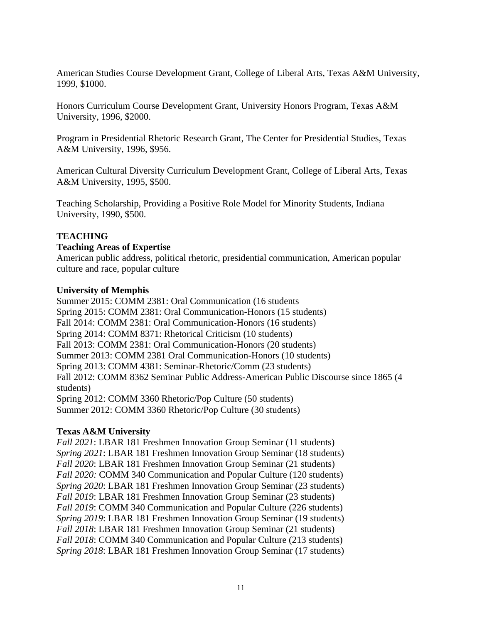American Studies Course Development Grant, College of Liberal Arts, Texas A&M University, 1999, \$1000.

Honors Curriculum Course Development Grant, University Honors Program, Texas A&M University, 1996, \$2000.

Program in Presidential Rhetoric Research Grant, The Center for Presidential Studies, Texas A&M University, 1996, \$956.

American Cultural Diversity Curriculum Development Grant, College of Liberal Arts, Texas A&M University, 1995, \$500.

Teaching Scholarship, Providing a Positive Role Model for Minority Students, Indiana University, 1990, \$500.

# **TEACHING**

# **Teaching Areas of Expertise**

American public address, political rhetoric, presidential communication, American popular culture and race, popular culture

# **University of Memphis**

Summer 2015: COMM 2381: Oral Communication (16 students Spring 2015: COMM 2381: Oral Communication-Honors (15 students) Fall 2014: COMM 2381: Oral Communication-Honors (16 students) Spring 2014: COMM 8371: Rhetorical Criticism (10 students) Fall 2013: COMM 2381: Oral Communication-Honors (20 students) Summer 2013: COMM 2381 Oral Communication-Honors (10 students) Spring 2013: COMM 4381: Seminar-Rhetoric/Comm (23 students) Fall 2012: COMM 8362 Seminar Public Address-American Public Discourse since 1865 (4 students) Spring 2012: COMM 3360 Rhetoric/Pop Culture (50 students) Summer 2012: COMM 3360 Rhetoric/Pop Culture (30 students)

# **Texas A&M University**

*Fall 2021*: LBAR 181 Freshmen Innovation Group Seminar (11 students) *Spring 2021*: LBAR 181 Freshmen Innovation Group Seminar (18 students) *Fall 2020*: LBAR 181 Freshmen Innovation Group Seminar (21 students) *Fall 2020:* COMM 340 Communication and Popular Culture (120 students) *Spring 2020*: LBAR 181 Freshmen Innovation Group Seminar (23 students) *Fall 2019*: LBAR 181 Freshmen Innovation Group Seminar (23 students) *Fall 2019*: COMM 340 Communication and Popular Culture (226 students) *Spring 2019*: LBAR 181 Freshmen Innovation Group Seminar (19 students) *Fall 2018*: LBAR 181 Freshmen Innovation Group Seminar (21 students) *Fall 2018*: COMM 340 Communication and Popular Culture (213 students) *Spring 2018*: LBAR 181 Freshmen Innovation Group Seminar (17 students)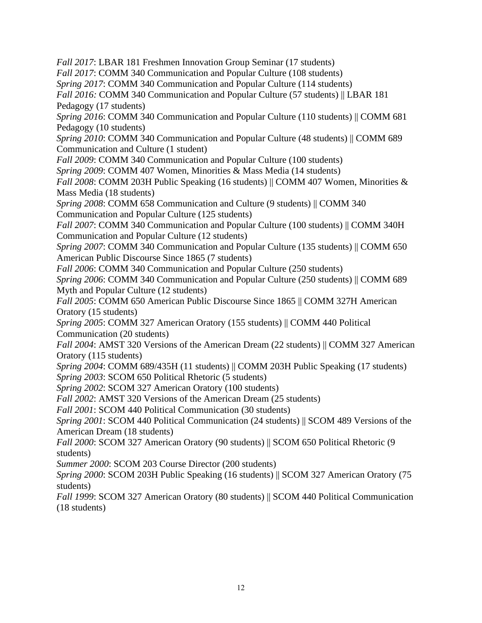*Fall 2017*: LBAR 181 Freshmen Innovation Group Seminar (17 students) *Fall 2017*: COMM 340 Communication and Popular Culture (108 students) *Spring 2017*: COMM 340 Communication and Popular Culture (114 students) *Fall 2016:* COMM 340 Communication and Popular Culture (57 students) || LBAR 181 Pedagogy (17 students) *Spring 2016*: COMM 340 Communication and Popular Culture (110 students) || COMM 681 Pedagogy (10 students) *Spring 2010:* COMM 340 Communication and Popular Culture (48 students) || COMM 689 Communication and Culture (1 student) *Fall 2009*: COMM 340 Communication and Popular Culture (100 students) *Spring 2009*: COMM 407 Women, Minorities & Mass Media (14 students) *Fall 2008*: COMM 203H Public Speaking (16 students) || COMM 407 Women, Minorities & Mass Media (18 students) *Spring 2008*: COMM 658 Communication and Culture (9 students) || COMM 340 Communication and Popular Culture (125 students) *Fall 2007*: COMM 340 Communication and Popular Culture (100 students) || COMM 340H Communication and Popular Culture (12 students) *Spring 2007*: COMM 340 Communication and Popular Culture (135 students) || COMM 650 American Public Discourse Since 1865 (7 students) *Fall 2006*: COMM 340 Communication and Popular Culture (250 students) *Spring 2006*: COMM 340 Communication and Popular Culture (250 students) || COMM 689 Myth and Popular Culture (12 students) *Fall 2005*: COMM 650 American Public Discourse Since 1865 || COMM 327H American Oratory (15 students) *Spring 2005*: COMM 327 American Oratory (155 students) || COMM 440 Political Communication (20 students) *Fall 2004*: AMST 320 Versions of the American Dream (22 students) || COMM 327 American Oratory (115 students) *Spring 2004*: COMM 689/435H (11 students) || COMM 203H Public Speaking (17 students) *Spring 2003*: SCOM 650 Political Rhetoric (5 students) *Spring 2002*: SCOM 327 American Oratory (100 students) *Fall 2002*: AMST 320 Versions of the American Dream (25 students) *Fall 2001*: SCOM 440 Political Communication (30 students) *Spring 2001*: SCOM 440 Political Communication (24 students) || SCOM 489 Versions of the American Dream (18 students) *Fall 2000*: SCOM 327 American Oratory (90 students) || SCOM 650 Political Rhetoric (9 students) *Summer 2000*: SCOM 203 Course Director (200 students) *Spring 2000*: SCOM 203H Public Speaking (16 students) || SCOM 327 American Oratory (75 students) *Fall 1999*: SCOM 327 American Oratory (80 students) || SCOM 440 Political Communication

(18 students)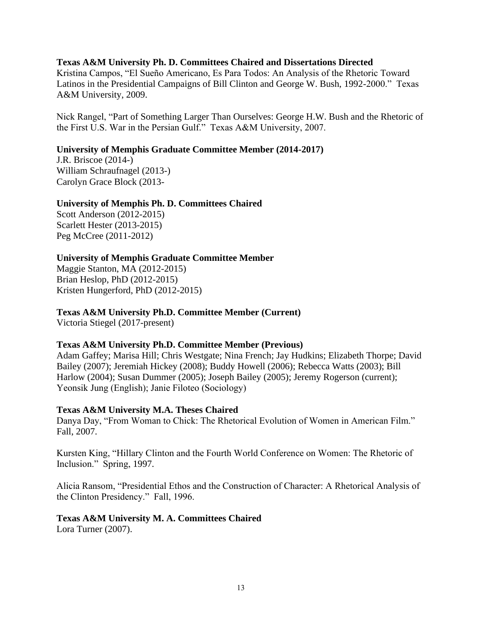## **Texas A&M University Ph. D. Committees Chaired and Dissertations Directed**

Kristina Campos, "El Sueño Americano, Es Para Todos: An Analysis of the Rhetoric Toward Latinos in the Presidential Campaigns of Bill Clinton and George W. Bush, 1992-2000." Texas A&M University, 2009.

Nick Rangel, "Part of Something Larger Than Ourselves: George H.W. Bush and the Rhetoric of the First U.S. War in the Persian Gulf." Texas A&M University, 2007.

## **University of Memphis Graduate Committee Member (2014-2017)**

J.R. Briscoe (2014-) William Schraufnagel (2013-) Carolyn Grace Block (2013-

# **University of Memphis Ph. D. Committees Chaired**

Scott Anderson (2012-2015) Scarlett Hester (2013-2015) Peg McCree (2011-2012)

# **University of Memphis Graduate Committee Member**

Maggie Stanton, MA (2012-2015) Brian Heslop, PhD (2012-2015) Kristen Hungerford, PhD (2012-2015)

## **Texas A&M University Ph.D. Committee Member (Current)**

Victoria Stiegel (2017-present)

### **Texas A&M University Ph.D. Committee Member (Previous)**

Adam Gaffey; Marisa Hill; Chris Westgate; Nina French; Jay Hudkins; Elizabeth Thorpe; David Bailey (2007); Jeremiah Hickey (2008); Buddy Howell (2006); Rebecca Watts (2003); Bill Harlow (2004); Susan Dummer (2005); Joseph Bailey (2005); Jeremy Rogerson (current); Yeonsik Jung (English); Janie Filoteo (Sociology)

### **Texas A&M University M.A. Theses Chaired**

Danya Day, "From Woman to Chick: The Rhetorical Evolution of Women in American Film." Fall, 2007.

Kursten King, "Hillary Clinton and the Fourth World Conference on Women: The Rhetoric of Inclusion." Spring, 1997.

Alicia Ransom, "Presidential Ethos and the Construction of Character: A Rhetorical Analysis of the Clinton Presidency." Fall, 1996.

### **Texas A&M University M. A. Committees Chaired**

Lora Turner (2007).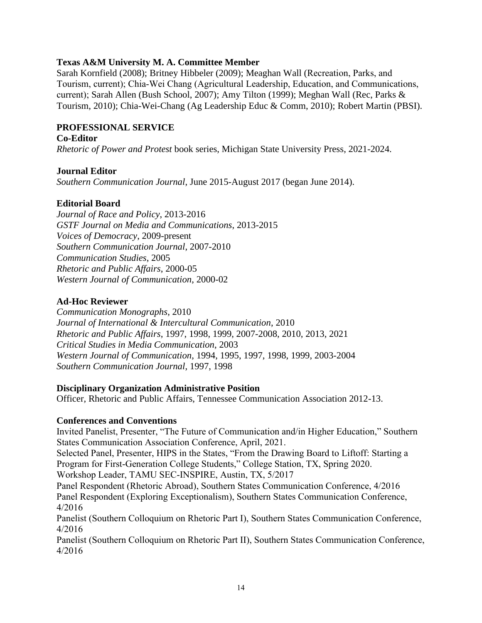# **Texas A&M University M. A. Committee Member**

Sarah Kornfield (2008); Britney Hibbeler (2009); Meaghan Wall (Recreation, Parks, and Tourism, current); Chia-Wei Chang (Agricultural Leadership, Education, and Communications, current); Sarah Allen (Bush School, 2007); Amy Tilton (1999); Meghan Wall (Rec, Parks & Tourism, 2010); Chia-Wei-Chang (Ag Leadership Educ & Comm, 2010); Robert Martin (PBSI).

# **PROFESSIONAL SERVICE**

### **Co-Editor**

*Rhetoric of Power and Protest* book series, Michigan State University Press, 2021-2024.

# **Journal Editor**

*Southern Communication Journal*, June 2015-August 2017 (began June 2014).

# **Editorial Board**

*Journal of Race and Policy*, 2013-2016 *GSTF Journal on Media and Communications*, 2013-2015 *Voices of Democracy*, 2009-present *Southern Communication Journal*, 2007-2010 *Communication Studies*, 2005 *Rhetoric and Public Affairs*, 2000-05 *Western Journal of Communication*, 2000-02

# **Ad-Hoc Reviewer**

*Communication Monographs*, 2010 *Journal of International & Intercultural Communication*, 2010 *Rhetoric and Public Affairs*, 1997, 1998, 1999, 2007-2008, 2010, 2013, 2021 *Critical Studies in Media Communication*, 2003 *Western Journal of Communication*, 1994, 1995, 1997, 1998, 1999, 2003-2004 *Southern Communication Journal*, 1997, 1998

### **Disciplinary Organization Administrative Position**

Officer, Rhetoric and Public Affairs, Tennessee Communication Association 2012-13.

### **Conferences and Conventions**

Invited Panelist, Presenter, "The Future of Communication and/in Higher Education," Southern States Communication Association Conference, April, 2021.

Selected Panel, Presenter, HIPS in the States, "From the Drawing Board to Liftoff: Starting a Program for First-Generation College Students," College Station, TX, Spring 2020.

Workshop Leader, TAMU SEC-INSPIRE, Austin, TX, 5/2017

Panel Respondent (Rhetoric Abroad), Southern States Communication Conference, 4/2016 Panel Respondent (Exploring Exceptionalism), Southern States Communication Conference, 4/2016

Panelist (Southern Colloquium on Rhetoric Part I), Southern States Communication Conference, 4/2016

Panelist (Southern Colloquium on Rhetoric Part II), Southern States Communication Conference, 4/2016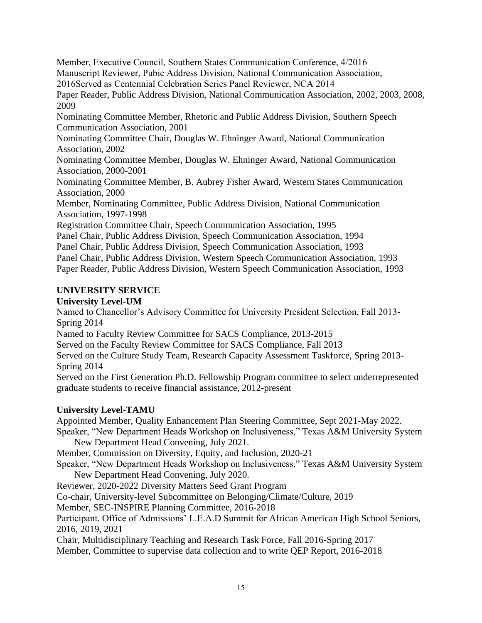Member, Executive Council, Southern States Communication Conference, 4/2016 Manuscript Reviewer, Pubic Address Division, National Communication Association, 2016Served as Centennial Celebration Series Panel Reviewer, NCA 2014

Paper Reader, Public Address Division, National Communication Association, 2002, 2003, 2008, 2009

Nominating Committee Member, Rhetoric and Public Address Division, Southern Speech Communication Association, 2001

Nominating Committee Chair, Douglas W. Ehninger Award, National Communication Association, 2002

Nominating Committee Member, Douglas W. Ehninger Award, National Communication Association, 2000-2001

Nominating Committee Member, B. Aubrey Fisher Award, Western States Communication Association, 2000

Member, Nominating Committee, Public Address Division, National Communication Association, 1997-1998

Registration Committee Chair, Speech Communication Association, 1995

Panel Chair, Public Address Division, Speech Communication Association, 1994

Panel Chair, Public Address Division, Speech Communication Association, 1993

Panel Chair, Public Address Division, Western Speech Communication Association, 1993

Paper Reader, Public Address Division, Western Speech Communication Association, 1993

# **UNIVERSITY SERVICE**

# **University Level-UM**

Named to Chancellor's Advisory Committee for University President Selection, Fall 2013- Spring 2014

Named to Faculty Review Committee for SACS Compliance, 2013-2015

Served on the Faculty Review Committee for SACS Compliance, Fall 2013

Served on the Culture Study Team, Research Capacity Assessment Taskforce, Spring 2013- Spring 2014

Served on the First Generation Ph.D. Fellowship Program committee to select underrepresented graduate students to receive financial assistance, 2012-present

# **University Level-TAMU**

Appointed Member, Quality Enhancement Plan Steering Committee, Sept 2021-May 2022. Speaker, "New Department Heads Workshop on Inclusiveness," Texas A&M University System New Department Head Convening, July 2021. Member, Commission on Diversity, Equity, and Inclusion, 2020-21 Speaker, "New Department Heads Workshop on Inclusiveness," Texas A&M University System New Department Head Convening, July 2020. Reviewer, 2020-2022 Diversity Matters Seed Grant Program Co-chair, University-level Subcommittee on Belonging/Climate/Culture, 2019 Member, SEC-INSPIRE Planning Committee, 2016-2018 Participant, Office of Admissions' L.E.A.D Summit for African American High School Seniors, 2016, 2019, 2021 Chair, Multidisciplinary Teaching and Research Task Force, Fall 2016-Spring 2017

Member, Committee to supervise data collection and to write QEP Report, 2016-2018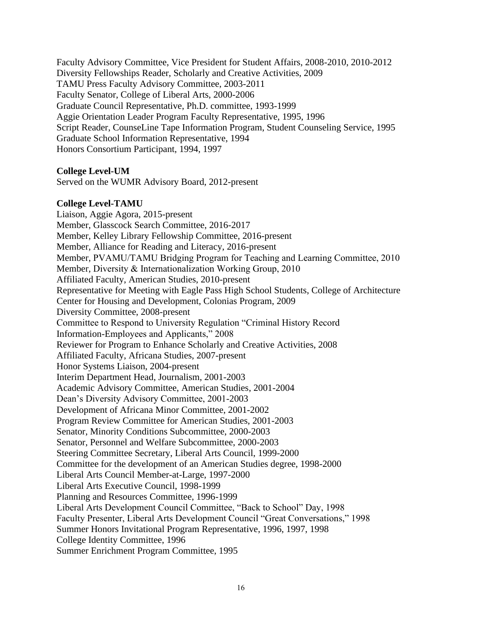Faculty Advisory Committee, Vice President for Student Affairs, 2008-2010, 2010-2012 Diversity Fellowships Reader, Scholarly and Creative Activities, 2009 TAMU Press Faculty Advisory Committee, 2003-2011 Faculty Senator, College of Liberal Arts, 2000-2006 Graduate Council Representative, Ph.D. committee, 1993-1999 Aggie Orientation Leader Program Faculty Representative, 1995, 1996 Script Reader, CounseLine Tape Information Program, Student Counseling Service, 1995 Graduate School Information Representative, 1994 Honors Consortium Participant, 1994, 1997

#### **College Level-UM**

Served on the WUMR Advisory Board, 2012-present

#### **College Level-TAMU**

Liaison, Aggie Agora, 2015-present Member, Glasscock Search Committee, 2016-2017 Member, Kelley Library Fellowship Committee, 2016-present Member, Alliance for Reading and Literacy, 2016-present Member, PVAMU/TAMU Bridging Program for Teaching and Learning Committee, 2010 Member, Diversity & Internationalization Working Group, 2010 Affiliated Faculty, American Studies, 2010-present Representative for Meeting with Eagle Pass High School Students, College of Architecture Center for Housing and Development, Colonias Program, 2009 Diversity Committee, 2008-present Committee to Respond to University Regulation "Criminal History Record Information-Employees and Applicants," 2008 Reviewer for Program to Enhance Scholarly and Creative Activities, 2008 Affiliated Faculty, Africana Studies, 2007-present Honor Systems Liaison, 2004-present Interim Department Head, Journalism, 2001-2003 Academic Advisory Committee, American Studies, 2001-2004 Dean's Diversity Advisory Committee, 2001-2003 Development of Africana Minor Committee, 2001-2002 Program Review Committee for American Studies, 2001-2003 Senator, Minority Conditions Subcommittee, 2000-2003 Senator, Personnel and Welfare Subcommittee, 2000-2003 Steering Committee Secretary, Liberal Arts Council, 1999-2000 Committee for the development of an American Studies degree, 1998-2000 Liberal Arts Council Member-at-Large, 1997-2000 Liberal Arts Executive Council, 1998-1999 Planning and Resources Committee, 1996-1999 Liberal Arts Development Council Committee, "Back to School" Day, 1998 Faculty Presenter, Liberal Arts Development Council "Great Conversations," 1998 Summer Honors Invitational Program Representative, 1996, 1997, 1998 College Identity Committee, 1996 Summer Enrichment Program Committee, 1995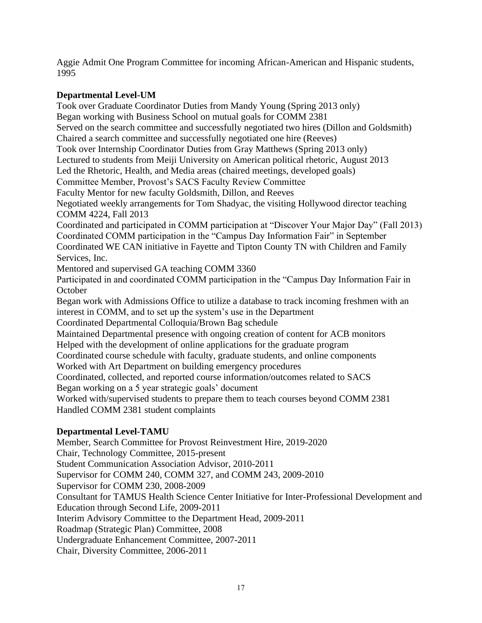Aggie Admit One Program Committee for incoming African-American and Hispanic students, 1995

# **Departmental Level-UM**

Took over Graduate Coordinator Duties from Mandy Young (Spring 2013 only) Began working with Business School on mutual goals for COMM 2381 Served on the search committee and successfully negotiated two hires (Dillon and Goldsmith) Chaired a search committee and successfully negotiated one hire (Reeves) Took over Internship Coordinator Duties from Gray Matthews (Spring 2013 only) Lectured to students from Meiji University on American political rhetoric, August 2013 Led the Rhetoric, Health, and Media areas (chaired meetings, developed goals) Committee Member, Provost's SACS Faculty Review Committee Faculty Mentor for new faculty Goldsmith, Dillon, and Reeves Negotiated weekly arrangements for Tom Shadyac, the visiting Hollywood director teaching COMM 4224, Fall 2013 Coordinated and participated in COMM participation at "Discover Your Major Day" (Fall 2013) Coordinated COMM participation in the "Campus Day Information Fair" in September Coordinated WE CAN initiative in Fayette and Tipton County TN with Children and Family Services, Inc. Mentored and supervised GA teaching COMM 3360 Participated in and coordinated COMM participation in the "Campus Day Information Fair in **October** Began work with Admissions Office to utilize a database to track incoming freshmen with an interest in COMM, and to set up the system's use in the Department Coordinated Departmental Colloquia/Brown Bag schedule Maintained Departmental presence with ongoing creation of content for ACB monitors Helped with the development of online applications for the graduate program Coordinated course schedule with faculty, graduate students, and online components Worked with Art Department on building emergency procedures Coordinated, collected, and reported course information/outcomes related to SACS Began working on a 5 year strategic goals' document Worked with/supervised students to prepare them to teach courses beyond COMM 2381 Handled COMM 2381 student complaints **Departmental Level-TAMU** Member, Search Committee for Provost Reinvestment Hire, 2019-2020

Chair, Technology Committee, 2015-present Student Communication Association Advisor, 2010-2011 Supervisor for COMM 240, COMM 327, and COMM 243, 2009-2010 Supervisor for COMM 230, 2008-2009 Consultant for TAMUS Health Science Center Initiative for Inter-Professional Development and Education through Second Life, 2009-2011 Interim Advisory Committee to the Department Head, 2009-2011 Roadmap (Strategic Plan) Committee, 2008 Undergraduate Enhancement Committee, 2007-2011 Chair, Diversity Committee, 2006-2011